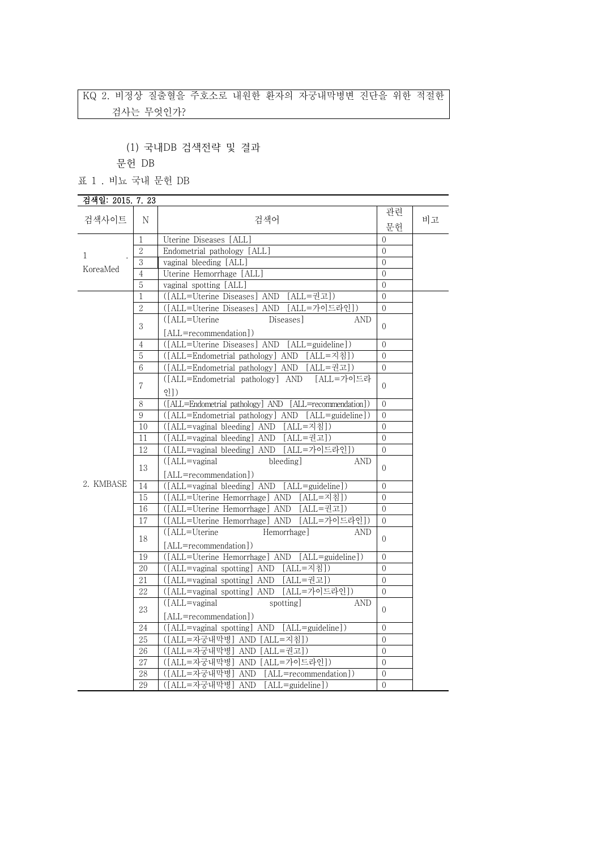# KQ 2. 비정상 질출혈을 주호소로 내원한 환자의 자궁내막병변 진단을 위한 적절한 검사는 무엇인가?

(1) 국내DB 검색전략 및 결과

문헌 DB

표 1 . 비뇨 국내 문헌 DB

#### 검색일: 2015. 7. 23 검색사이트 <sup>N</sup> 검색어 관련 문헌 비고 검색일: 2015. 7. 23<br>검색사이트 N<br>1 . Li Uterine D<br>1 . 2 . Endometr<br>3 . vaginal bl KoreaMed  $\frac{3}{4}$ 1 Uterine Diseases [ALL] 0 2 Endometrial pathology [ALL] vaginal bleeding [ALL] 0 Uterine Hemorrhage [ALL] 0 5 vaginal spotting [ALL] 0 2. KMBASE  $\boxed{14}$ 1 ([ALL=Uterine Diseases] AND [ALL=권고]) 0 2 ([ALL=Uterine Diseases] AND [ALL=가이드라인]) 0  $\begin{bmatrix} 3 \\ [ALL=recommunication] \end{bmatrix}$   $\begin{bmatrix} 0 \\ [1mm] 0 \end{bmatrix}$ ([ALL=Uterine Diseases] AND 4 ([ALL=Uterine Diseases] AND [ALL=guideline]) 0 5 ([ALL=Endometrial pathology] AND [ALL=지침]) 0 6 ([ALL=Endometrial pathology] AND [ALL=권고]) 0  $7 \frac{\text{cm}}{\text{g}}$ ([ALL=Endometrial pathology] AND [ALL=가이드라  $\begin{bmatrix} 0 \\ 0 \end{bmatrix}$ 8 ([ALL=Endometrial pathology] AND [ALL=recommendation]) 0 9 ([ALL=Endometrial pathology] AND [ALL=guideline]) 0 10 ([ALL=vaginal bleeding] AND [ALL=지침]) 0 11 ([ALL=vaginal bleeding] AND [ALL=권고]) 0 12 ([ALL=vaginal bleeding] AND [ALL=가이드라인]) 0 13 ([ALL=vaginal bleeding] AND [ALL=recommendation])  $( [ALL = vaginal \ bleeding] AND [ALL = guideline])$  0 15 ([ALL=Uterine Hemorrhage] AND [ALL=지침]) 0 16 ([ALL=Uterine Hemorrhage] AND [ALL=권고]) 0 17 ([ALL=Uterine Hemorrhage] AND [ALL=가이드라인]) 0 18 [ALL=recommendation]) 0 ([ALL=Uterine Hemorrhage] AND 19 ([ALL=Uterine Hemorrhage] AND [ALL=guideline]) 0 20 ([ALL=vaginal spotting] AND [ALL=지침]) 0 21 ([ALL=vaginal spotting] AND [ALL=권고]) 0 22 ([ALL=vaginal spotting] AND [ALL=가이드라인]) 0 23  $\text{([ALL=vaginal} \quad \text{spotting]} \quad \text{AND} \mid_0$ [ALL=recommendation]) 24 ([ALL=vaginal spotting] AND [ALL=guideline]) 0 25 ([ALL=자궁내막병] AND [ALL=지침]) 0 26 ([ALL=자궁내막병] AND [ALL=권고]) 0 27 ([ALL=자궁내막병] AND [ALL=가이드라인]) 0 28 ([ALL=자궁내막병] AND [ALL=recommendation]) 0 29 ([ALL=자궁내막병] AND [ALL=guideline]) 0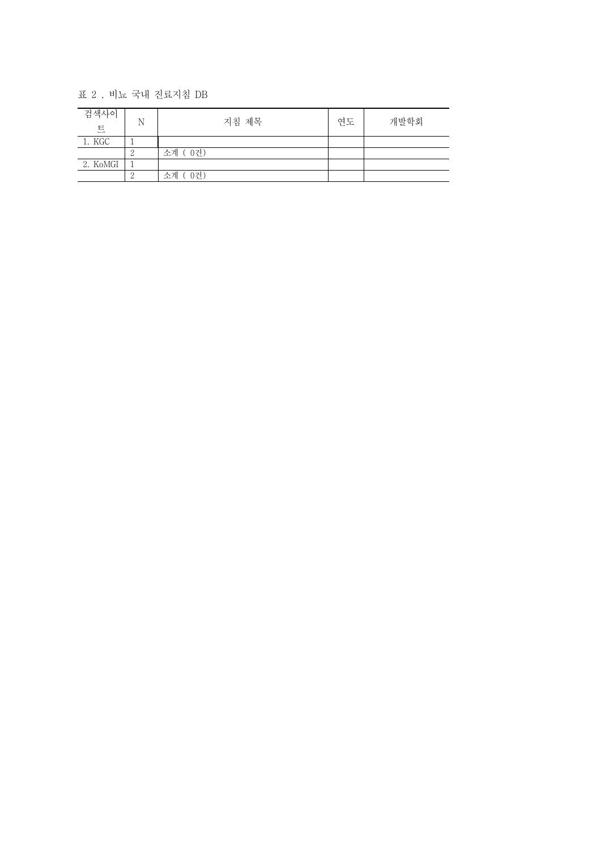표 2 . 비뇨 국내 진료지침 DB

| 검색사이<br>트 | N | 지침 제목     | 연도 | 개발학회 |
|-----------|---|-----------|----|------|
| 1. KGC    |   |           |    |      |
|           | ∠ | 소계 (0건)   |    |      |
| 2. KoMGI  |   |           |    |      |
|           |   | 0건)<br>수계 |    |      |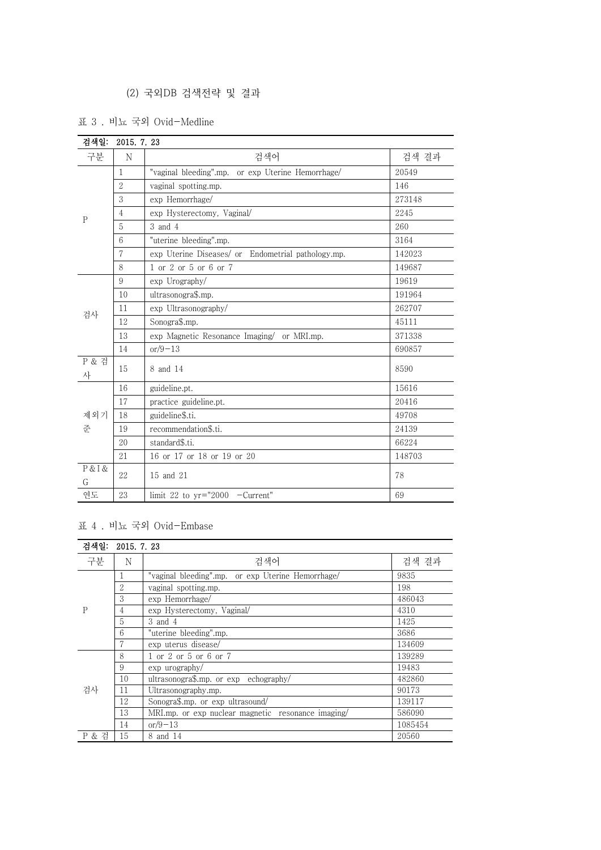# (2) 국외DB 검색전략 및 결과

표 3 . 비뇨 국외 Ovid-Medline

|              | 검색일:<br>2015. 7. 23 |                                                    |        |
|--------------|---------------------|----------------------------------------------------|--------|
| 구분           | N                   | 검색어                                                | 검색 결과  |
| $\mathsf{P}$ | 1                   | "vaginal bleeding".mp. or exp Uterine Hemorrhage/  | 20549  |
|              | $\overline{2}$      | vaginal spotting.mp.                               | 146    |
|              | 3                   | exp Hemorrhage/                                    | 273148 |
|              | 4                   | exp Hysterectomy, Vaginal/                         | 2245   |
|              | 5                   | 3 and 4                                            | 260    |
|              | 6                   | "uterine bleeding".mp.                             | 3164   |
|              | 7                   | exp Uterine Diseases/ or Endometrial pathology.mp. | 142023 |
|              | 8                   | 1 or 2 or 5 or 6 or 7                              | 149687 |
|              | 9                   | exp Urography/                                     | 19619  |
|              | 10                  | ultrasonogra\$.mp.                                 | 191964 |
| 검사           | 11                  | exp Ultrasonography/                               | 262707 |
|              | 12                  | Sonogra\$.mp.                                      | 45111  |
|              | 13                  | exp Magnetic Resonance Imaging/ or MRI.mp.         | 371338 |
|              | 14                  | $or/9-13$                                          | 690857 |
| P & 검<br>사   | 15                  | 8 and 14                                           | 8590   |
|              | 16                  | guideline.pt.                                      | 15616  |
|              | 17                  | practice guideline.pt.                             | 20416  |
| 제외기<br>준     | 18                  | guideline\$.ti.                                    | 49708  |
|              | 19                  | recommendation\$.ti.                               | 24139  |
|              | 20                  | standard\$.ti.                                     | 66224  |
|              | 21                  | 16 or 17 or 18 or 19 or 20                         | 148703 |
| P & I &<br>G | 22                  | 15 and 21                                          | 78     |
| 연도           | 23                  | limit 22 to $yr="2000$ -Current"                   | 69     |

### 표 4 . 비뇨 국외 Ovid-Embase

|       | 검색일: 2015. 7. 23 |                                                    |         |  |
|-------|------------------|----------------------------------------------------|---------|--|
| 구분    | N                | 검색어                                                | 검색 결과   |  |
| P     |                  | "vaginal bleeding".mp. or exp Uterine Hemorrhage/  | 9835    |  |
|       | 2                | vaginal spotting.mp.                               | 198     |  |
|       | 3                | exp Hemorrhage/                                    | 486043  |  |
|       | 4                | exp Hysterectomy, Vaginal/                         | 4310    |  |
|       | 5                | 3 and 4                                            | 1425    |  |
|       | 6                | "uterine bleeding".mp.                             | 3686    |  |
|       | 7                | exp uterus disease/                                | 134609  |  |
|       | 8                | 1 or 2 or 5 or 6 or 7                              | 139289  |  |
| 검사    | 9                | $\exp$ urography/                                  | 19483   |  |
|       | 10               | ultrasonogra\$.mp. or $exp$ echography/            | 482860  |  |
|       | 11               | Ultrasonography.mp.                                | 90173   |  |
|       | 12               | Sonogra\$.mp. or exp ultrasound/                   | 139117  |  |
|       | 13               | MRI.mp. or exp nuclear magnetic resonance imaging/ | 586090  |  |
|       | 14               | $or/9-13$                                          | 1085454 |  |
| P & 검 | 15               | 8 and 14                                           | 20560   |  |